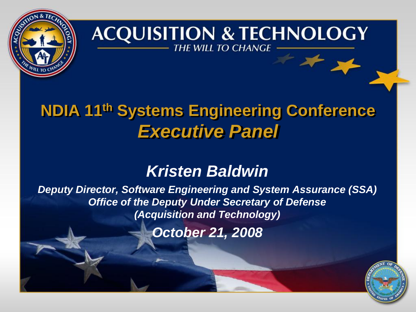

#### **ACQUISITION & TECHNOLOGY THE WILL TO CHANGE**

### **NDIA 11th Systems Engineering Conference** *Executive Panel*

### *Kristen Baldwin*

*Deputy Director, Software Engineering and System Assurance (SSA) Office of the Deputy Under Secretary of Defense (Acquisition and Technology)*

*October 21, 2008*

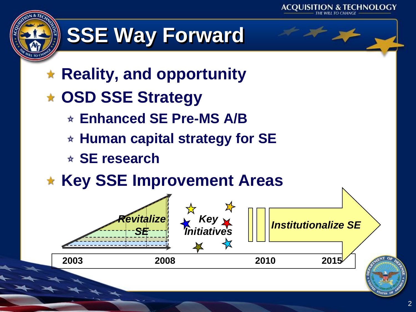

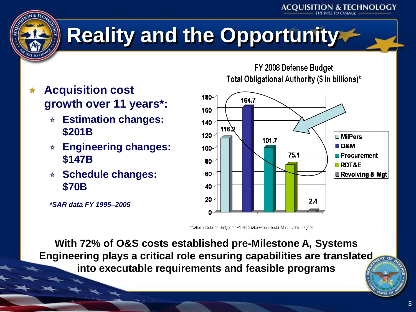



# **Reality and the Opportunity**

- **Acquisition cost growth over 11 years\*:**
	- **Estimation changes: \$201B**
	- **Engineering changes: \$147B**
	- **Schedule changes: \$70B**

FY 2008 Defense Budget Total Obligational Authority (\$ in billions)\*

**ACOUISITION & TECHNOLOGY** 



\*National Defense Budget for FY 2008 (aka Green Book), March 2007, page 29.

**With 72% of O&S costs established pre-Milestone A, Systems Engineering plays a critical role ensuring capabilities are translated into executable requirements and feasible programs**

*\*SAR data FY 1995–2005*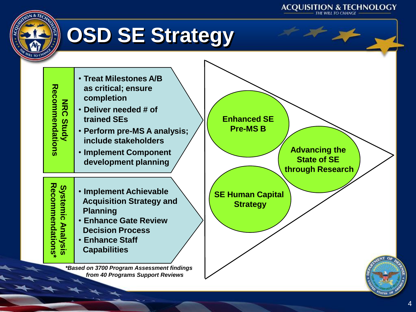

4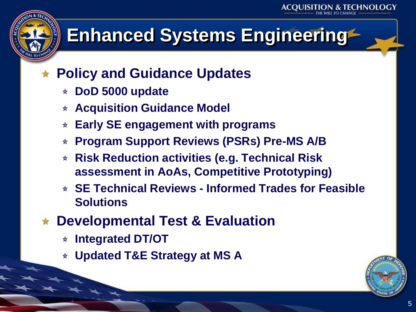# **Enhanced Systems Engineering**

### **Policy and Guidance Updates**

- **DoD 5000 update**
- **Acquisition Guidance Model**
- **Early SE engagement with programs**  $\star$
- **Program Support Reviews (PSRs) Pre-MS A/B** \*
- **Risk Reduction activities (e.g. Technical Risk assessment in AoAs, Competitive Prototyping)**
- **SE Technical Reviews - Informed Trades for Feasible Solutions**
- **Developmental Test & Evaluation**
	- **Integrated DT/OT**
	- **Updated T&E Strategy at MS A**

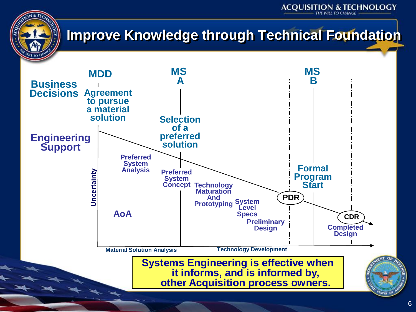

### **Improve Knowledge through Technical Foundation**

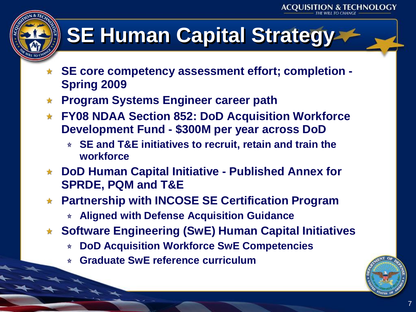# **SE Human Capital Strategy**

- **SE core competency assessment effort; completion - Spring 2009**
- **Program Systems Engineer career path**
- **FY08 NDAA Section 852: DoD Acquisition Workforce Development Fund - \$300M per year across DoD**
	- **SE and T&E initiatives to recruit, retain and train the workforce**
- **DoD Human Capital Initiative - Published Annex for SPRDE, PQM and T&E**
- **Partnership with INCOSE SE Certification Program**
	- **Aligned with Defense Acquisition Guidance**
- **Software Engineering (SwE) Human Capital Initiatives**
	- **DoD Acquisition Workforce SwE Competencies**
	- **Graduate SwE reference curriculum**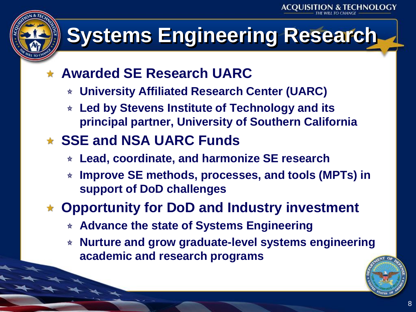# **Systems Engineering Research**

- **Awarded SE Research UARC** 
	- **University Affiliated Research Center (UARC)**
	- **Led by Stevens Institute of Technology and its principal partner, University of Southern California**
- **SSE and NSA UARC Funds**
	- **Lead, coordinate, and harmonize SE research**
	- **Improve SE methods, processes, and tools (MPTs) in support of DoD challenges**
- **Opportunity for DoD and Industry investment** 
	- **Advance the state of Systems Engineering**
	- **Nurture and grow graduate-level systems engineering academic and research programs**

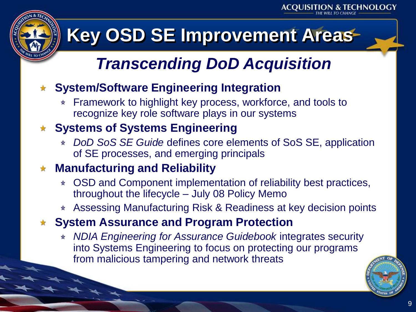# **Key OSD SE Improvement Areas**

## *Transcending DoD Acquisition*

#### **System/Software Engineering Integration**

\* Framework to highlight key process, workforce, and tools to recognize key role software plays in our systems

### **Systems of Systems Engineering**

*DoD SoS SE Guide* defines core elements of SoS SE, application of SE processes, and emerging principals

### **Manufacturing and Reliability**

- OSD and Component implementation of reliability best practices, throughout the lifecycle – July 08 Policy Memo
- Assessing Manufacturing Risk & Readiness at key decision points

### **System Assurance and Program Protection**

*NDIA Engineering for Assurance Guidebook* integrates security into Systems Engineering to focus on protecting our programs from malicious tampering and network threats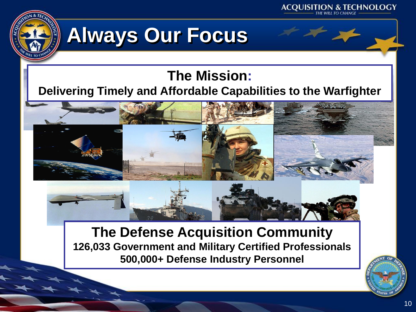



# **Always Our Focus**

### **The Mission:**

#### **Delivering Timely and Affordable Capabilities to the Warfighter**



#### **The Defense Acquisition Community 126,033 Government and Military Certified Professionals 500,000+ Defense Industry Personnel**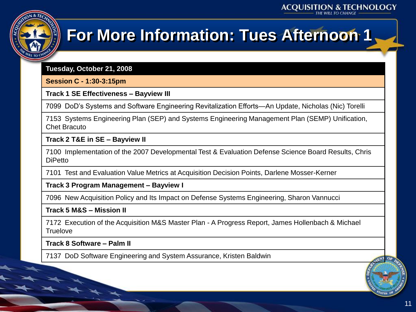

### **For More Information: Tues Afternoon 1**

**Tuesday, October 21, 2008**

**Session C - 1:30-3:15pm**

**Track 1 SE Effectiveness – Bayview III**

7099 DoD's Systems and Software Engineering Revitalization Efforts—An Update, Nicholas (Nic) Torelli

7153 Systems Engineering Plan (SEP) and Systems Engineering Management Plan (SEMP) Unification, Chet Bracuto

**Track 2 T&E in SE – Bayview II**

7100 Implementation of the 2007 Developmental Test & Evaluation Defense Science Board Results, Chris **DiPetto** 

7101 Test and Evaluation Value Metrics at Acquisition Decision Points, Darlene Mosser-Kerner

**Track 3 Program Management – Bayview I**

7096 New Acquisition Policy and Its Impact on Defense Systems Engineering, Sharon Vannucci

**Track 5 M&S – Mission II**

7172 Execution of the Acquisition M&S Master Plan - A Progress Report, James Hollenbach & Michael **Truelove** 

**Track 8 Software – Palm II**

7137 DoD Software Engineering and System Assurance, Kristen Baldwin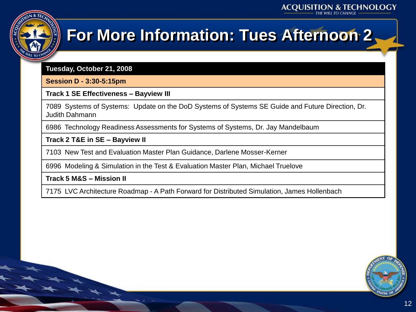

## **For More Information: Tues Afternoon 2**

**Tuesday, October 21, 2008**

**Session D - 3:30-5:15pm**

**Track 1 SE Effectiveness – Bayview III**

7089 Systems of Systems: Update on the DoD Systems of Systems SE Guide and Future Direction, Dr. Judith Dahmann

6986 Technology Readiness Assessments for Systems of Systems, Dr. Jay Mandelbaum

**Track 2 T&E in SE – Bayview II**

7103 New Test and Evaluation Master Plan Guidance, Darlene Mosser-Kerner

6996 Modeling & Simulation in the Test & Evaluation Master Plan, Michael Truelove

**Track 5 M&S – Mission II**

7175 LVC Architecture Roadmap - A Path Forward for Distributed Simulation, James Hollenbach

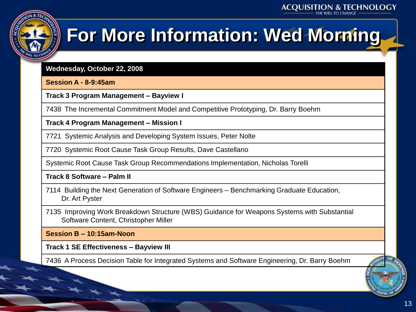

# **For More Information: Wed Morning**

**Wednesday, October 22, 2008**

**Session A - 8-9:45am**

**Track 3 Program Management – Bayview I**

7438 The Incremental Commitment Model and Competitive Prototyping, Dr. Barry Boehm

**Track 4 Program Management – Mission I**

7721 Systemic Analysis and Developing System Issues, Peter Nolte

7720 Systemic Root Cause Task Group Results, Dave Castellano

Systemic Root Cause Task Group Recommendations Implementation, Nicholas Torelli

**Track 8 Software – Palm II**

7114 Building the Next Generation of Software Engineers – Benchmarking Graduate Education, Dr. Art Pyster

7135 Improving Work Breakdown Structure (WBS) Guidance for Weapons Systems with Substantial Software Content, Christopher Miller

**Session B – 10:15am-Noon**

**Track 1 SE Effectiveness – Bayview III**

7436 A Process Decision Table for Integrated Systems and Software Engineering, Dr. Barry Boehm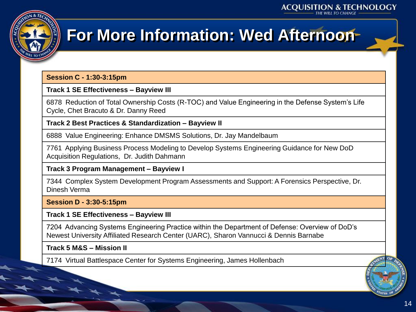

### **For More Information: Wed Afternoon**

#### **Session C - 1:30-3:15pm**

#### **Track 1 SE Effectiveness – Bayview III**

6878 Reduction of Total Ownership Costs (R-TOC) and Value Engineering in the Defense System's Life Cycle, Chet Bracuto & Dr. Danny Reed

#### **Track 2 Best Practices & Standardization – Bayview II**

6888 Value Engineering: Enhance DMSMS Solutions, Dr. Jay Mandelbaum

7761 Applying Business Process Modeling to Develop Systems Engineering Guidance for New DoD Acquisition Regulations, Dr. Judith Dahmann

#### **Track 3 Program Management – Bayview I**

7344 Complex System Development Program Assessments and Support: A Forensics Perspective, Dr. Dinesh Verma

#### **Session D - 3:30-5:15pm**

#### **Track 1 SE Effectiveness – Bayview III**

7204 Advancing Systems Engineering Practice within the Department of Defense: Overview of DoD's Newest University Affiliated Research Center (UARC), Sharon Vannucci & Dennis Barnabe

#### **Track 5 M&S – Mission II**

7174 Virtual Battlespace Center for Systems Engineering, James Hollenbach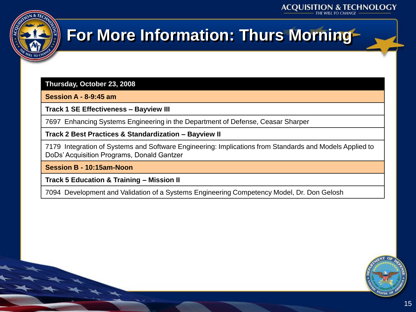

### **For More Information: Thurs Morning**

**Thursday, October 23, 2008**

**Session A - 8-9:45 am**

**Track 1 SE Effectiveness – Bayview III**

7697 Enhancing Systems Engineering in the Department of Defense, Ceasar Sharper

**Track 2 Best Practices & Standardization – Bayview II**

7179 Integration of Systems and Software Engineering: Implications from Standards and Models Applied to DoDs' Acquisition Programs, Donald Gantzer

**Session B - 10:15am-Noon**

**Track 5 Education & Training – Mission II**

7094 Development and Validation of a Systems Engineering Competency Model, Dr. Don Gelosh